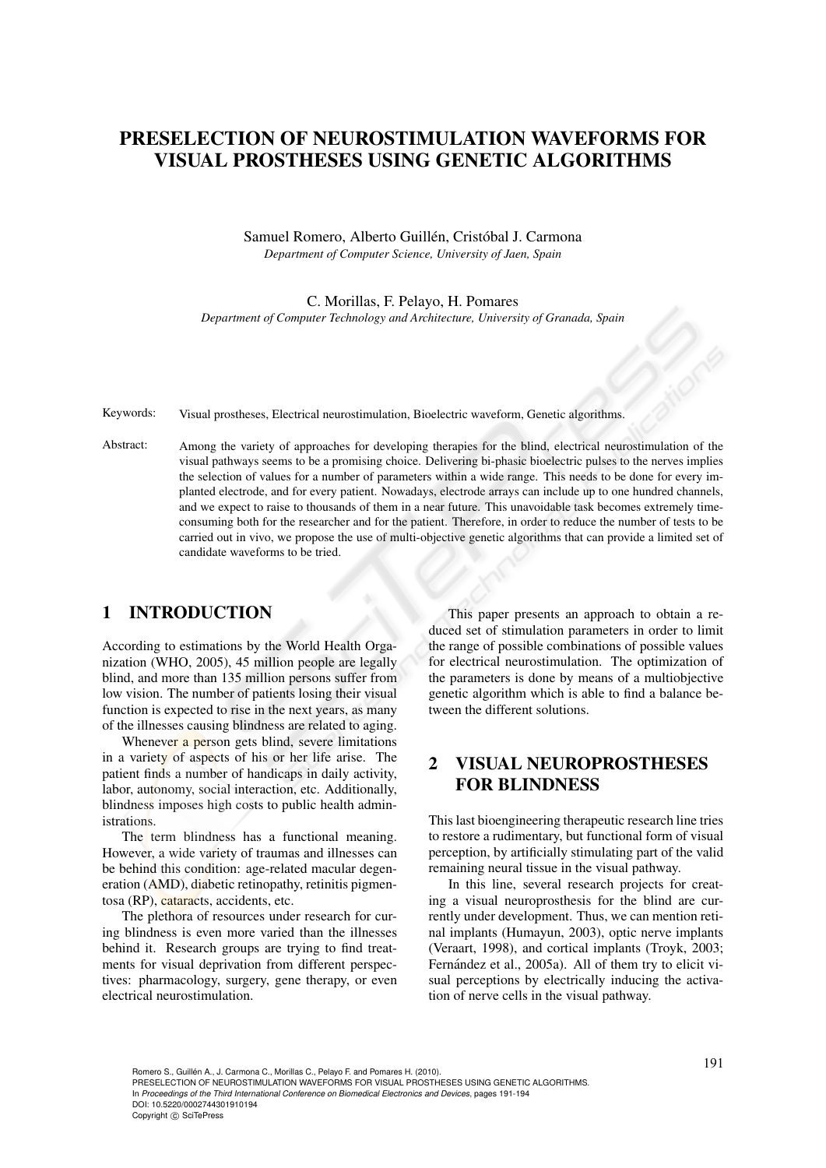# PRESELECTION OF NEUROSTIMULATION WAVEFORMS FOR VISUAL PROSTHESES USING GENETIC ALGORITHMS

Samuel Romero, Alberto Guillén, Cristóbal J. Carmona *Department of Computer Science, University of Jaen, Spain*

C. Morillas, F. Pelayo, H. Pomares *Department of Computer Technology and Architecture, University of Granada, Spain*

Keywords: Visual prostheses, Electrical neurostimulation, Bioelectric waveform, Genetic algorithms.

Abstract: Among the variety of approaches for developing therapies for the blind, electrical neurostimulation of the visual pathways seems to be a promising choice. Delivering bi-phasic bioelectric pulses to the nerves implies the selection of values for a number of parameters within a wide range. This needs to be done for every implanted electrode, and for every patient. Nowadays, electrode arrays can include up to one hundred channels, and we expect to raise to thousands of them in a near future. This unavoidable task becomes extremely timeconsuming both for the researcher and for the patient. Therefore, in order to reduce the number of tests to be carried out in vivo, we propose the use of multi-objective genetic algorithms that can provide a limited set of candidate waveforms to be tried.

### 1 INTRODUCTION

According to estimations by the World Health Organization (WHO, 2005), 45 million people are legally blind, and more than 135 million persons suffer from low vision. The number of patients losing their visual function is expected to rise in the next years, as many of the illnesses causing blindness are related to aging.

Whenever a person gets blind, severe limitations in a variety of aspects of his or her life arise. The patient finds a number of handicaps in daily activity, labor, autonomy, social interaction, etc. Additionally, blindness imposes high costs to public health administrations.

The term blindness has a functional meaning. However, a wide variety of traumas and illnesses can be behind this condition: age-related macular degeneration (AMD), diabetic retinopathy, retinitis pigmentosa (RP), cataracts, accidents, etc.

The plethora of resources under research for curing blindness is even more varied than the illnesses behind it. Research groups are trying to find treatments for visual deprivation from different perspectives: pharmacology, surgery, gene therapy, or even electrical neurostimulation.

This paper presents an approach to obtain a reduced set of stimulation parameters in order to limit the range of possible combinations of possible values for electrical neurostimulation. The optimization of the parameters is done by means of a multiobjective genetic algorithm which is able to find a balance between the different solutions.

## 2 VISUAL NEUROPROSTHESES FOR BLINDNESS

This last bioengineering therapeutic research line tries to restore a rudimentary, but functional form of visual perception, by artificially stimulating part of the valid remaining neural tissue in the visual pathway.

In this line, several research projects for creating a visual neuroprosthesis for the blind are currently under development. Thus, we can mention retinal implants (Humayun, 2003), optic nerve implants (Veraart, 1998), and cortical implants (Troyk, 2003; Fernández et al., 2005a). All of them try to elicit visual perceptions by electrically inducing the activation of nerve cells in the visual pathway.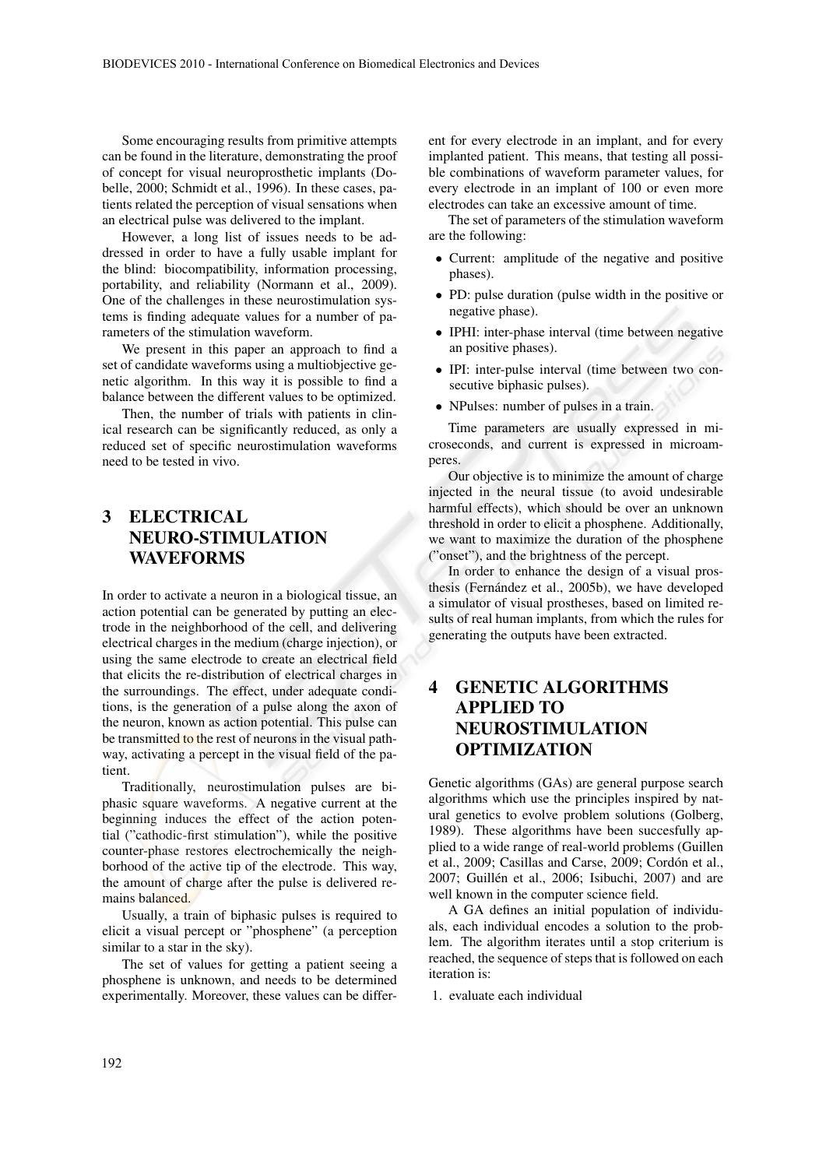Some encouraging results from primitive attempts can be found in the literature, demonstrating the proof of concept for visual neuroprosthetic implants (Dobelle, 2000; Schmidt et al., 1996). In these cases, patients related the perception of visual sensations when an electrical pulse was delivered to the implant.

However, a long list of issues needs to be addressed in order to have a fully usable implant for the blind: biocompatibility, information processing, portability, and reliability (Normann et al., 2009). One of the challenges in these neurostimulation systems is finding adequate values for a number of parameters of the stimulation waveform.

We present in this paper an approach to find a set of candidate waveforms using a multiobjective genetic algorithm. In this way it is possible to find a balance between the different values to be optimized.

Then, the number of trials with patients in clinical research can be significantly reduced, as only a reduced set of specific neurostimulation waveforms need to be tested in vivo.

## 3 ELECTRICAL NEURO-STIMULATION WAVEFORMS

In order to activate a neuron in a biological tissue, an action potential can be generated by putting an electrode in the neighborhood of the cell, and delivering electrical charges in the medium (charge injection), or using the same electrode to create an electrical field that elicits the re-distribution of electrical charges in the surroundings. The effect, under adequate conditions, is the generation of a pulse along the axon of the neuron, known as action potential. This pulse can be transmitted to the rest of neurons in the visual pathway, activating a percept in the visual field of the patient.

Traditionally, neurostimulation pulses are biphasic square waveforms. A negative current at the beginning induces the effect of the action potential ("cathodic-first stimulation"), while the positive counter-phase restores electrochemically the neighborhood of the active tip of the electrode. This way, the amount of charge after the pulse is delivered remains balanced.

Usually, a train of biphasic pulses is required to elicit a visual percept or "phosphene" (a perception similar to a star in the sky).

The set of values for getting a patient seeing a phosphene is unknown, and needs to be determined experimentally. Moreover, these values can be different for every electrode in an implant, and for every implanted patient. This means, that testing all possible combinations of waveform parameter values, for every electrode in an implant of 100 or even more electrodes can take an excessive amount of time.

The set of parameters of the stimulation waveform are the following:

- Current: amplitude of the negative and positive phases).
- PD: pulse duration (pulse width in the positive or negative phase).
- IPHI: inter-phase interval (time between negative an positive phases).
- IPI: inter-pulse interval (time between two consecutive biphasic pulses).
- NPulses: number of pulses in a train.

Time parameters are usually expressed in microseconds, and current is expressed in microamperes.

Our objective is to minimize the amount of charge injected in the neural tissue (to avoid undesirable harmful effects), which should be over an unknown threshold in order to elicit a phosphene. Additionally, we want to maximize the duration of the phosphene ("onset"), and the brightness of the percept.

In order to enhance the design of a visual prosthesis (Fernández et al., 2005b), we have developed a simulator of visual prostheses, based on limited results of real human implants, from which the rules for generating the outputs have been extracted.

## 4 GENETIC ALGORITHMS APPLIED TO NEUROSTIMULATION OPTIMIZATION

Genetic algorithms (GAs) are general purpose search algorithms which use the principles inspired by natural genetics to evolve problem solutions (Golberg, 1989). These algorithms have been succesfully applied to a wide range of real-world problems (Guillen et al., 2009; Casillas and Carse, 2009; Cordón et al., 2007; Guillén et al., 2006; Isibuchi, 2007) and are well known in the computer science field.

A GA defines an initial population of individuals, each individual encodes a solution to the problem. The algorithm iterates until a stop criterium is reached, the sequence of steps that is followed on each iteration is:

1. evaluate each individual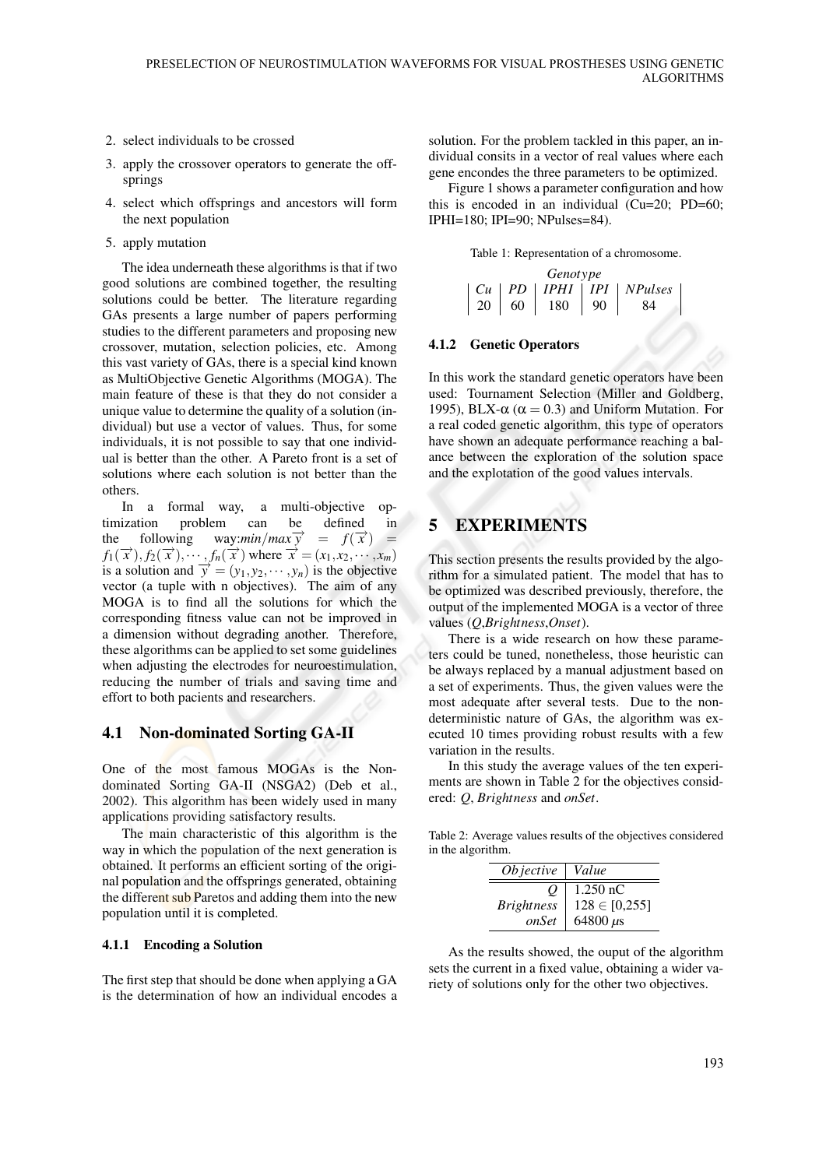- 2. select individuals to be crossed
- 3. apply the crossover operators to generate the offsprings
- 4. select which offsprings and ancestors will form the next population
- 5. apply mutation

The idea underneath these algorithms is that if two good solutions are combined together, the resulting solutions could be better. The literature regarding GAs presents a large number of papers performing studies to the different parameters and proposing new crossover, mutation, selection policies, etc. Among this vast variety of GAs, there is a special kind known as MultiObjective Genetic Algorithms (MOGA). The main feature of these is that they do not consider a unique value to determine the quality of a solution (individual) but use a vector of values. Thus, for some individuals, it is not possible to say that one individual is better than the other. A Pareto front is a set of solutions where each solution is not better than the others.

In a formal way, a multi-objective optimization problem can be defined in the following way:*min*/*max* $\overrightarrow{y}$  $= f(\vec{x}) =$  $f_1(\vec{x}), f_2(\vec{x}), \cdots, f_n(\vec{x})$  where  $\vec{x} = (x_1, x_2, \cdots, x_m)$ is a solution and  $\vec{y} = (y_1, y_2, \dots, y_n)$  is the objective vector (a tuple with n objectives). The aim of any MOGA is to find all the solutions for which the corresponding fitness value can not be improved in a dimension without degrading another. Therefore, these algorithms can be applied to set some guidelines when adjusting the electrodes for neuroestimulation, reducing the number of trials and saving time and effort to both pacients and researchers.

### 4.1 Non-dominated Sorting GA-II

One of the most famous MOGAs is the Nondominated Sorting GA-II (NSGA2) (Deb et al., 2002). This algorithm has been widely used in many applications providing satisfactory results.

The main characteristic of this algorithm is the way in which the population of the next generation is obtained. It performs an efficient sorting of the original population and the offsprings generated, obtaining the different sub Paretos and adding them into the new population until it is completed.

#### 4.1.1 Encoding a Solution

The first step that should be done when applying a GA is the determination of how an individual encodes a solution. For the problem tackled in this paper, an individual consits in a vector of real values where each gene encondes the three parameters to be optimized.

Figure 1 shows a parameter configuration and how this is encoded in an individual (Cu=20; PD=60; IPHI=180; IPI=90; NPulses=84).

|  |  | Table 1: Representation of a chromosome. |  |  |
|--|--|------------------------------------------|--|--|
|--|--|------------------------------------------|--|--|

| Genotype |    |    |      |    |                                                           |  |  |  |
|----------|----|----|------|----|-----------------------------------------------------------|--|--|--|
|          |    |    |      |    | $\mid$ Cu $\mid$ PD $\mid$ IPHI $\mid$ IPI $\mid$ NPulses |  |  |  |
|          | 20 | 60 | -180 | 90 |                                                           |  |  |  |

#### 4.1.2 Genetic Operators

In this work the standard genetic operators have been used: Tournament Selection (Miller and Goldberg, 1995), BLX- $\alpha$  (α = 0.3) and Uniform Mutation. For a real coded genetic algorithm, this type of operators have shown an adequate performance reaching a balance between the exploration of the solution space and the explotation of the good values intervals.

### 5 EXPERIMENTS

This section presents the results provided by the algorithm for a simulated patient. The model that has to be optimized was described previously, therefore, the output of the implemented MOGA is a vector of three values (*Q*,*Brightness*,*Onset*).

There is a wide research on how these parameters could be tuned, nonetheless, those heuristic can be always replaced by a manual adjustment based on a set of experiments. Thus, the given values were the most adequate after several tests. Due to the nondeterministic nature of GAs, the algorithm was executed 10 times providing robust results with a few variation in the results.

In this study the average values of the ten experiments are shown in Table 2 for the objectives considered: *Q*, *Brightness* and *onSet*.

Table 2: Average values results of the objectives considered in the algorithm.

| <i>Objective</i>  | Value             |
|-------------------|-------------------|
|                   | $1.250$ nC        |
| <b>Brightness</b> | $128 \in [0,255]$ |
| <i>onSet</i>      | 64800 $\mu$ s     |

As the results showed, the ouput of the algorithm sets the current in a fixed value, obtaining a wider variety of solutions only for the other two objectives.